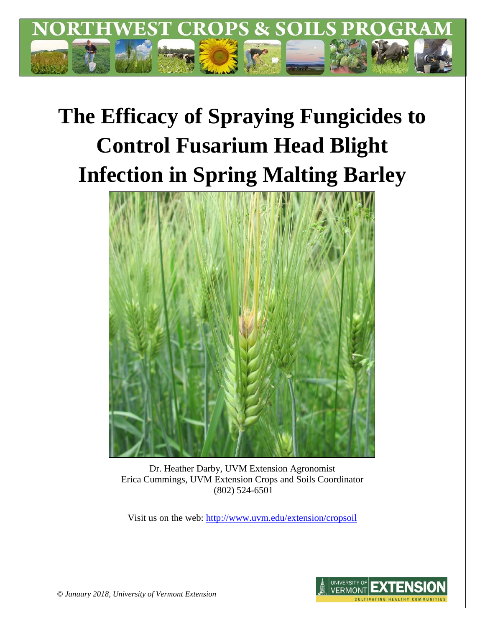

# **The Efficacy of Spraying Fungicides to Control Fusarium Head Blight Infection in Spring Malting Barley**



Dr. Heather Darby, UVM Extension Agronomist Erica Cummings, UVM Extension Crops and Soils Coordinator (802) 524-6501

Visit us on the web:<http://www.uvm.edu/extension/cropsoil>



*© January 2018, University of Vermont Extension*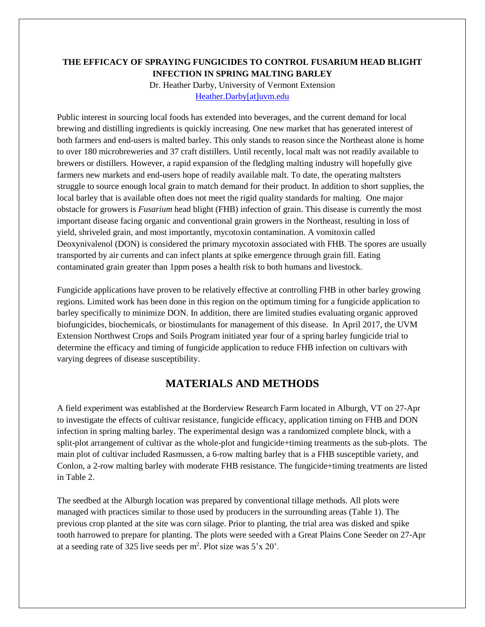## **THE EFFICACY OF SPRAYING FUNGICIDES TO CONTROL FUSARIUM HEAD BLIGHT INFECTION IN SPRING MALTING BARLEY**

Dr. Heather Darby, University of Vermont Extension [Heather.Darby\[at\]uvm.edu](mailto:Heather.Darby@uvm.edu)

Public interest in sourcing local foods has extended into beverages, and the current demand for local brewing and distilling ingredients is quickly increasing. One new market that has generated interest of both farmers and end-users is malted barley. This only stands to reason since the Northeast alone is home to over 180 microbreweries and 37 craft distillers. Until recently, local malt was not readily available to brewers or distillers. However, a rapid expansion of the fledgling malting industry will hopefully give farmers new markets and end-users hope of readily available malt. To date, the operating maltsters struggle to source enough local grain to match demand for their product. In addition to short supplies, the local barley that is available often does not meet the rigid quality standards for malting. One major obstacle for growers is *Fusarium* head blight (FHB) infection of grain. This disease is currently the most important disease facing organic and conventional grain growers in the Northeast, resulting in loss of yield, shriveled grain, and most importantly, mycotoxin contamination. A vomitoxin called Deoxynivalenol (DON) is considered the primary mycotoxin associated with FHB. The spores are usually transported by air currents and can infect plants at spike emergence through grain fill. Eating contaminated grain greater than 1ppm poses a health risk to both humans and livestock.

Fungicide applications have proven to be relatively effective at controlling FHB in other barley growing regions. Limited work has been done in this region on the optimum timing for a fungicide application to barley specifically to minimize DON. In addition, there are limited studies evaluating organic approved biofungicides, biochemicals, or biostimulants for management of this disease. In April 2017, the UVM Extension Northwest Crops and Soils Program initiated year four of a spring barley fungicide trial to determine the efficacy and timing of fungicide application to reduce FHB infection on cultivars with varying degrees of disease susceptibility.

# **MATERIALS AND METHODS**

A field experiment was established at the Borderview Research Farm located in Alburgh, VT on 27-Apr to investigate the effects of cultivar resistance, fungicide efficacy, application timing on FHB and DON infection in spring malting barley. The experimental design was a randomized complete block, with a split-plot arrangement of cultivar as the whole-plot and fungicide+timing treatments as the sub-plots. The main plot of cultivar included Rasmussen, a 6-row malting barley that is a FHB susceptible variety, and Conlon, a 2-row malting barley with moderate FHB resistance. The fungicide+timing treatments are listed in Table 2.

The seedbed at the Alburgh location was prepared by conventional tillage methods. All plots were managed with practices similar to those used by producers in the surrounding areas (Table 1). The previous crop planted at the site was corn silage. Prior to planting, the trial area was disked and spike tooth harrowed to prepare for planting. The plots were seeded with a Great Plains Cone Seeder on 27-Apr at a seeding rate of 325 live seeds per  $m^2$ . Plot size was  $5'x 20'$ .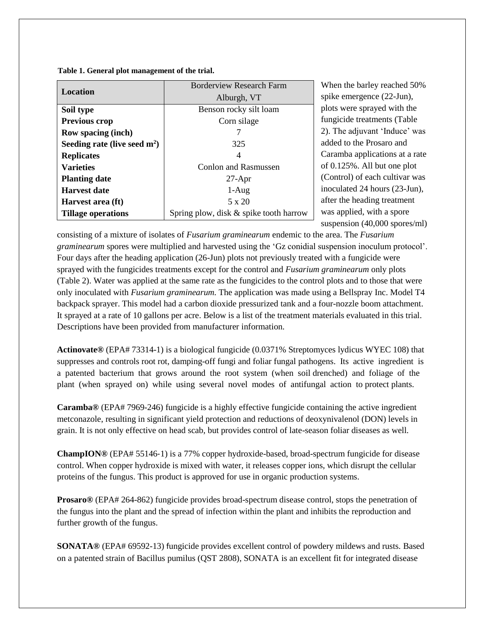**Table 1. General plot management of the trial.**

| <b>Location</b>                | <b>Borderview Research Farm</b>        |  |  |
|--------------------------------|----------------------------------------|--|--|
|                                | Alburgh, VT                            |  |  |
| Soil type                      | Benson rocky silt loam                 |  |  |
| <b>Previous crop</b>           | Corn silage                            |  |  |
| Row spacing (inch)             |                                        |  |  |
| Seeding rate (live seed $m2$ ) | 325                                    |  |  |
| <b>Replicates</b>              | 4                                      |  |  |
| <b>Varieties</b>               | Conlon and Rasmussen                   |  |  |
| <b>Planting date</b>           | $27$ -Apr                              |  |  |
| <b>Harvest date</b>            | $1-Aug$                                |  |  |
| Harvest area (ft)              | $5 \times 20$                          |  |  |
| <b>Tillage operations</b>      | Spring plow, disk & spike tooth harrow |  |  |

When the barley reached 50% spike emergence (22-Jun), plots were sprayed with the fungicide treatments (Table 2). The adjuvant 'Induce' was added to the Prosaro and Caramba applications at a rate of 0.125%. All but one plot (Control) of each cultivar was inoculated 24 hours (23-Jun), after the heading treatment was applied, with a spore suspension (40,000 spores/ml)

consisting of a mixture of isolates of *Fusarium graminearum* endemic to the area. The *Fusarium graminearum* spores were multiplied and harvested using the 'Gz conidial suspension inoculum protocol'. Four days after the heading application (26-Jun) plots not previously treated with a fungicide were sprayed with the fungicides treatments except for the control and *Fusarium graminearum* only plots (Table 2). Water was applied at the same rate as the fungicides to the control plots and to those that were only inoculated with *Fusarium graminearum.* The application was made using a Bellspray Inc. Model T4 backpack sprayer. This model had a carbon dioxide pressurized tank and a four-nozzle boom attachment. It sprayed at a rate of 10 gallons per acre. Below is a list of the treatment materials evaluated in this trial. Descriptions have been provided from manufacturer information.

**Actinovate®** (EPA# 73314-1) is a biological fungicide (0.0371% Streptomyces lydicus WYEC 108) that suppresses and controls root rot, damping-off fungi and foliar fungal pathogens. Its active ingredient is a patented bacterium that grows around the root system (when soil drenched) and foliage of the plant (when sprayed on) while using several novel modes of antifungal action to protect plants.

**Caramba®** (EPA# 7969-246) fungicide is a highly effective fungicide containing the active ingredient metconazole, resulting in significant yield protection and reductions of deoxynivalenol (DON) levels in grain. It is not only effective on head scab, but provides control of late-season foliar diseases as well.

**ChampION®** (EPA# 55146‐1) is a 77% copper hydroxide-based, broad-spectrum fungicide for disease control. When copper hydroxide is mixed with water, it releases copper ions, which disrupt the cellular proteins of the fungus. This product is approved for use in organic production systems.

**Prosaro®** (EPA# 264-862) fungicide provides broad-spectrum disease control, stops the penetration of the fungus into the plant and the spread of infection within the plant and inhibits the reproduction and further growth of the fungus.

**SONATA®** (EPA# 69592-13) fungicide provides excellent control of powdery mildews and rusts. Based on a patented strain of Bacillus pumilus (QST 2808), SONATA is an excellent fit for integrated disease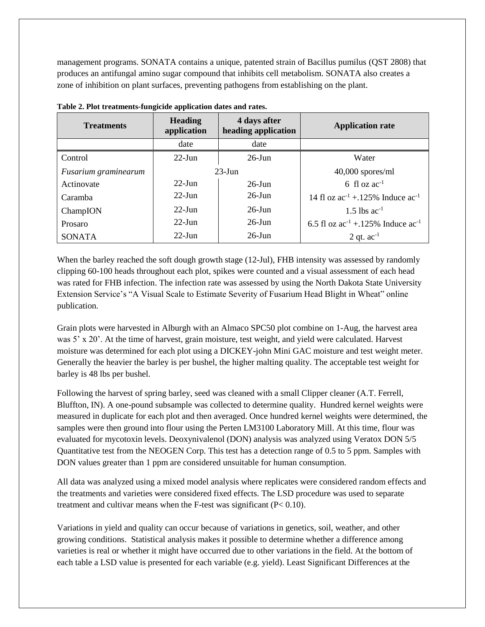management programs. SONATA contains a unique, patented strain of Bacillus pumilus (QST 2808) that produces an antifungal amino sugar compound that inhibits cell metabolism. SONATA also creates a zone of inhibition on plant surfaces, preventing pathogens from establishing on the plant.

| <b>Treatments</b>    | 4 days after<br><b>Heading</b><br>application<br>heading application |           | <b>Application rate</b>                     |
|----------------------|----------------------------------------------------------------------|-----------|---------------------------------------------|
|                      | date                                                                 | date      |                                             |
| Control              | $22$ -Jun                                                            | $26$ -Jun | Water                                       |
| Fusarium graminearum | $23$ -Jun                                                            |           | $40,000$ spores/ml                          |
| Actinovate           | $22$ -Jun                                                            | $26$ -Jun | 6 fl oz $ac^{-1}$                           |
| Caramba              | $22$ -Jun                                                            | $26$ -Jun | 14 fl oz $ac^{-1}$ + 125% Induce $ac^{-1}$  |
| ChampION             | $22$ -Jun                                                            | $26$ -Jun | 1.5 lbs $ac^{-1}$                           |
| Prosaro              | $22$ -Jun                                                            | $26$ -Jun | 6.5 fl oz $ac^{-1}$ + 125% Induce $ac^{-1}$ |
| <b>SONATA</b>        | $22$ -Jun                                                            | $26$ -Jun | 2 qt. $ac^{-1}$                             |

**Table 2. Plot treatments-fungicide application dates and rates.**

When the barley reached the soft dough growth stage (12-Jul), FHB intensity was assessed by randomly clipping 60-100 heads throughout each plot, spikes were counted and a visual assessment of each head was rated for FHB infection. The infection rate was assessed by using the North Dakota State University Extension Service's "A Visual Scale to Estimate Severity of Fusarium Head Blight in Wheat" online publication.

Grain plots were harvested in Alburgh with an Almaco SPC50 plot combine on 1-Aug, the harvest area was 5' x 20'. At the time of harvest, grain moisture, test weight, and yield were calculated. Harvest moisture was determined for each plot using a DICKEY-john Mini GAC moisture and test weight meter. Generally the heavier the barley is per bushel, the higher malting quality. The acceptable test weight for barley is 48 lbs per bushel.

Following the harvest of spring barley, seed was cleaned with a small Clipper cleaner (A.T. Ferrell, Bluffton, IN). A one-pound subsample was collected to determine quality. Hundred kernel weights were measured in duplicate for each plot and then averaged. Once hundred kernel weights were determined, the samples were then ground into flour using the Perten LM3100 Laboratory Mill. At this time, flour was evaluated for mycotoxin levels. Deoxynivalenol (DON) analysis was analyzed using Veratox DON 5/5 Quantitative test from the NEOGEN Corp. This test has a detection range of 0.5 to 5 ppm. Samples with DON values greater than 1 ppm are considered unsuitable for human consumption.

All data was analyzed using a mixed model analysis where replicates were considered random effects and the treatments and varieties were considered fixed effects. The LSD procedure was used to separate treatment and cultivar means when the F-test was significant (P< 0.10).

Variations in yield and quality can occur because of variations in genetics, soil, weather, and other growing conditions. Statistical analysis makes it possible to determine whether a difference among varieties is real or whether it might have occurred due to other variations in the field. At the bottom of each table a LSD value is presented for each variable (e.g. yield). Least Significant Differences at the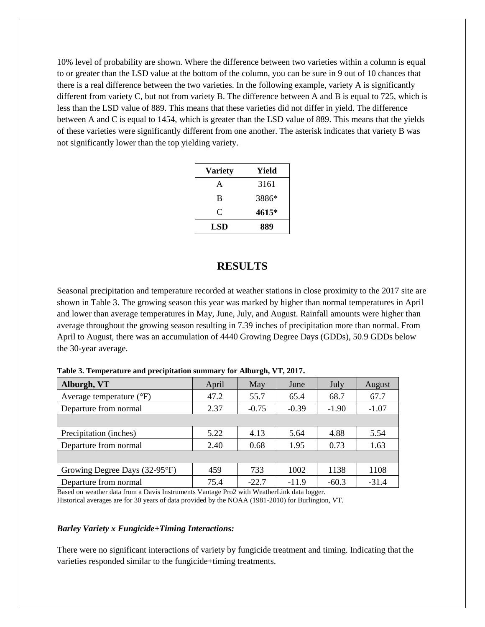10% level of probability are shown. Where the difference between two varieties within a column is equal to or greater than the LSD value at the bottom of the column, you can be sure in 9 out of 10 chances that there is a real difference between the two varieties. In the following example, variety A is significantly different from variety C, but not from variety B. The difference between A and B is equal to 725, which is less than the LSD value of 889. This means that these varieties did not differ in yield. The difference between A and C is equal to 1454, which is greater than the LSD value of 889. This means that the yields of these varieties were significantly different from one another. The asterisk indicates that variety B was not significantly lower than the top yielding variety.

| <b>Variety</b> | Yield |
|----------------|-------|
| A              | 3161  |
| B              | 3886* |
| C              | 4615* |
| LSD            | 889   |

## **RESULTS**

Seasonal precipitation and temperature recorded at weather stations in close proximity to the 2017 site are shown in Table 3. The growing season this year was marked by higher than normal temperatures in April and lower than average temperatures in May, June, July, and August. Rainfall amounts were higher than average throughout the growing season resulting in 7.39 inches of precipitation more than normal. From April to August, there was an accumulation of 4440 Growing Degree Days (GDDs), 50.9 GDDs below the 30-year average.

| Alburgh, VT                         | April | May     | June    | July    | August  |
|-------------------------------------|-------|---------|---------|---------|---------|
| Average temperature $({}^{\circ}F)$ | 47.2  | 55.7    | 65.4    | 68.7    | 67.7    |
| Departure from normal               | 2.37  | $-0.75$ | $-0.39$ | $-1.90$ | $-1.07$ |
|                                     |       |         |         |         |         |
| Precipitation (inches)              | 5.22  | 4.13    | 5.64    | 4.88    | 5.54    |
| Departure from normal               | 2.40  | 0.68    | 1.95    | 0.73    | 1.63    |
|                                     |       |         |         |         |         |
| Growing Degree Days (32-95°F)       | 459   | 733     | 1002    | 1138    | 1108    |
| Departure from normal               | 75.4  | $-22.7$ | $-11.9$ | $-60.3$ | $-31.4$ |

**Table 3. Temperature and precipitation summary for Alburgh, VT, 2017.**

Based on weather data from a Davis Instruments Vantage Pro2 with WeatherLink data logger. Historical averages are for 30 years of data provided by the NOAA (1981-2010) for Burlington, VT.

#### *Barley Variety x Fungicide+Timing Interactions:*

There were no significant interactions of variety by fungicide treatment and timing. Indicating that the varieties responded similar to the fungicide+timing treatments.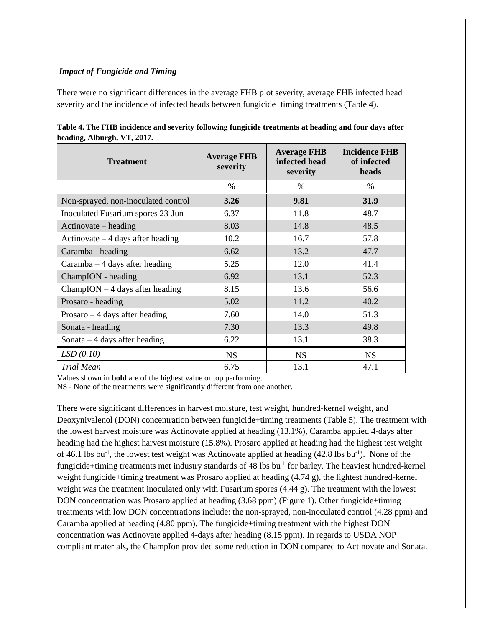#### *Impact of Fungicide and Timing*

There were no significant differences in the average FHB plot severity, average FHB infected head severity and the incidence of infected heads between fungicide+timing treatments (Table 4).

| <b>Treatment</b>                          | <b>Average FHB</b><br>severity | <b>Average FHB</b><br>infected head<br>severity | <b>Incidence FHB</b><br>of infected<br>heads |  |
|-------------------------------------------|--------------------------------|-------------------------------------------------|----------------------------------------------|--|
|                                           | $\%$                           | $\%$                                            | $\%$                                         |  |
| Non-sprayed, non-inoculated control       | 3.26                           | 9.81                                            | 31.9                                         |  |
| Inoculated Fusarium spores 23-Jun         | 6.37                           | 11.8                                            | 48.7                                         |  |
| $\text{Actinovate} - \text{ heading}$     | 8.03                           | 14.8                                            | 48.5                                         |  |
| Actinovate $-4$ days after heading        | 10.2                           | 16.7                                            | 57.8                                         |  |
| Caramba - heading                         | 6.62                           | 13.2                                            | 47.7                                         |  |
| $Caramba - 4$ days after heading          | 5.25                           | 12.0                                            | 41.4                                         |  |
| ChampION - heading                        | 6.92                           | 13.1                                            | 52.3                                         |  |
| $ChampION - 4 \text{ days after heading}$ | 8.15                           | 13.6                                            | 56.6                                         |  |
| Prosaro - heading                         | 5.02                           | 11.2                                            | 40.2                                         |  |
| Prosaro $-4$ days after heading           | 7.60                           | 14.0                                            | 51.3                                         |  |
| Sonata - heading                          | 7.30                           | 13.3                                            | 49.8                                         |  |
| Sonata $-4$ days after heading            | 6.22                           | 13.1                                            | 38.3                                         |  |
| LSD(0.10)                                 | <b>NS</b>                      | <b>NS</b>                                       | <b>NS</b>                                    |  |
| <b>Trial Mean</b>                         | 6.75                           | 13.1                                            | 47.1                                         |  |

| Table 4. The FHB incidence and severity following fungicide treatments at heading and four days after |
|-------------------------------------------------------------------------------------------------------|
| heading, Alburgh, VT, 2017.                                                                           |

Values shown in **bold** are of the highest value or top performing.

NS - None of the treatments were significantly different from one another.

There were significant differences in harvest moisture, test weight, hundred-kernel weight, and Deoxynivalenol (DON) concentration between fungicide+timing treatments (Table 5). The treatment with the lowest harvest moisture was Actinovate applied at heading (13.1%), Caramba applied 4-days after heading had the highest harvest moisture (15.8%). Prosaro applied at heading had the highest test weight of 46.1 lbs bu<sup>-1</sup>, the lowest test weight was Actinovate applied at heading (42.8 lbs bu<sup>-1</sup>). None of the fungicide+timing treatments met industry standards of 48 lbs bu<sup>-1</sup> for barley. The heaviest hundred-kernel weight fungicide+timing treatment was Prosaro applied at heading (4.74 g), the lightest hundred-kernel weight was the treatment inoculated only with Fusarium spores (4.44 g). The treatment with the lowest DON concentration was Prosaro applied at heading (3.68 ppm) (Figure 1). Other fungicide+timing treatments with low DON concentrations include: the non-sprayed, non-inoculated control (4.28 ppm) and Caramba applied at heading (4.80 ppm). The fungicide+timing treatment with the highest DON concentration was Actinovate applied 4-days after heading (8.15 ppm). In regards to USDA NOP compliant materials, the ChampIon provided some reduction in DON compared to Actinovate and Sonata.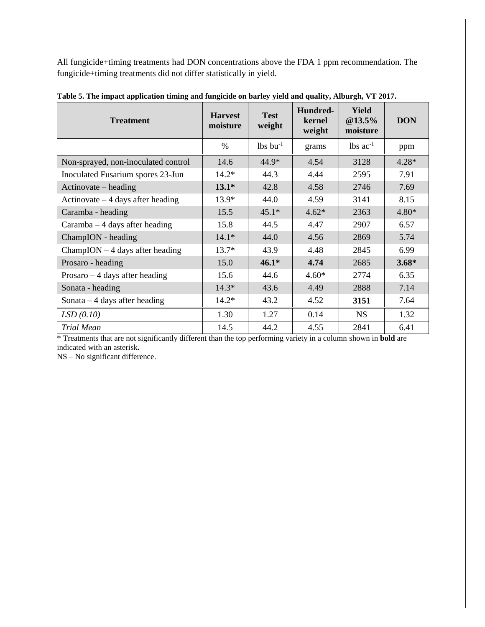All fungicide+timing treatments had DON concentrations above the FDA 1 ppm recommendation. The fungicide+timing treatments did not differ statistically in yield.

| <b>Test</b><br><b>Harvest</b><br><b>Treatment</b><br>moisture |         | weight                 | Hundred-<br>kernel<br>weight | <b>Yield</b><br>$@13.5\%$<br>moisture | <b>DON</b> |
|---------------------------------------------------------------|---------|------------------------|------------------------------|---------------------------------------|------------|
|                                                               | $\%$    | $lbs$ bu <sup>-1</sup> | grams                        | $1b$ s ac <sup>-1</sup>               | ppm        |
| Non-sprayed, non-inoculated control                           | 14.6    | 44.9*                  | 4.54                         | 3128                                  | $4.28*$    |
| Inoculated Fusarium spores 23-Jun                             | $14.2*$ | 44.3                   | 4.44                         | 2595                                  | 7.91       |
| $Actionovate - heading$                                       | $13.1*$ | 42.8                   | 4.58                         | 2746                                  | 7.69       |
| Actinovate $-4$ days after heading                            | 13.9*   | 44.0                   | 4.59                         | 3141                                  | 8.15       |
| Caramba - heading                                             | 15.5    | $45.1*$                | $4.62*$                      | 2363                                  | $4.80*$    |
| Caramba $-4$ days after heading                               | 15.8    | 44.5                   | 4.47                         | 2907                                  | 6.57       |
| ChampION - heading                                            | $14.1*$ | 44.0                   | 4.56                         | 2869                                  | 5.74       |
| $ChampION - 4$ days after heading                             | $13.7*$ | 43.9                   | 4.48                         | 2845                                  | 6.99       |
| Prosaro - heading                                             | 15.0    | $46.1*$                | 4.74                         | 2685                                  | $3.68*$    |
| Prosaro $-4$ days after heading                               | 15.6    | 44.6                   | $4.60*$                      | 2774                                  | 6.35       |
| Sonata - heading                                              | $14.3*$ | 43.6                   | 4.49                         | 2888                                  | 7.14       |
| Sonata $-4$ days after heading                                | $14.2*$ | 43.2                   | 4.52                         | 3151                                  | 7.64       |
| LSD(0.10)                                                     | 1.30    | 1.27                   | 0.14                         | <b>NS</b>                             | 1.32       |
| <b>Trial Mean</b>                                             | 14.5    | 44.2                   | 4.55                         | 2841                                  | 6.41       |

**Table 5. The impact application timing and fungicide on barley yield and quality, Alburgh, VT 2017.**

\* Treatments that are not significantly different than the top performing variety in a column shown in **bold** are indicated with an asterisk**.**

NS – No significant difference.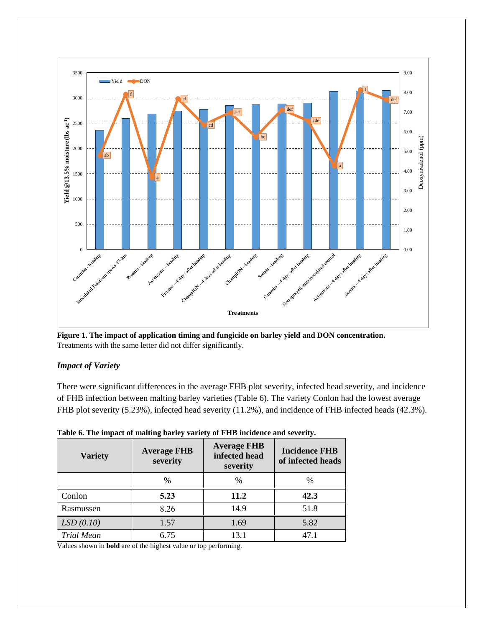

**Figure 1. The impact of application timing and fungicide on barley yield and DON concentration.** Treatments with the same letter did not differ significantly.

## *Impact of Variety*

There were significant differences in the average FHB plot severity, infected head severity, and incidence of FHB infection between malting barley varieties (Table 6). The variety Conlon had the lowest average FHB plot severity (5.23%), infected head severity (11.2%), and incidence of FHB infected heads (42.3%).

| <b>Variety</b>    | <b>Average FHB</b><br>severity | <b>Average FHB</b><br>infected head<br>severity | <b>Incidence FHB</b><br>of infected heads |  |
|-------------------|--------------------------------|-------------------------------------------------|-------------------------------------------|--|
|                   | $\%$                           | $\frac{0}{0}$                                   | $\%$                                      |  |
| Conlon            | 5.23                           | 11.2                                            | 42.3                                      |  |
| Rasmussen         | 8.26                           | 14.9                                            | 51.8                                      |  |
| LSD(0.10)         | 1.57                           | 1.69                                            | 5.82                                      |  |
| <b>Trial Mean</b> | 6.75                           | 13.1                                            | 47.1                                      |  |

**Table 6. The impact of malting barley variety of FHB incidence and severity.**

Values shown in **bold** are of the highest value or top performing.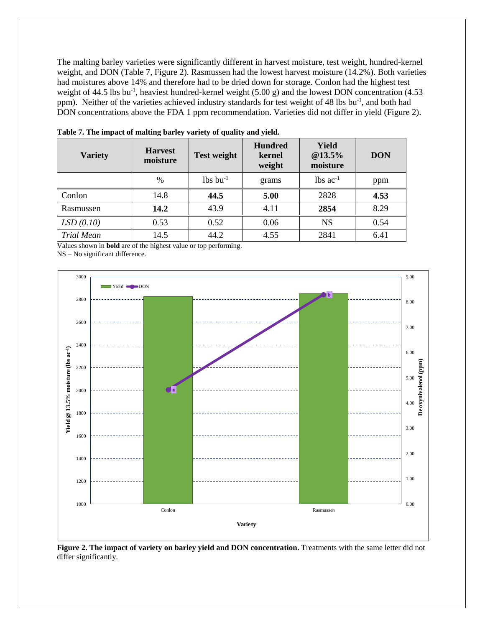The malting barley varieties were significantly different in harvest moisture, test weight, hundred-kernel weight, and DON (Table 7, Figure 2). Rasmussen had the lowest harvest moisture (14.2%). Both varieties had moistures above 14% and therefore had to be dried down for storage. Conlon had the highest test weight of 44.5 lbs bu<sup>-1</sup>, heaviest hundred-kernel weight  $(5.00 \text{ g})$  and the lowest DON concentration  $(4.53 \text{ m})$ ppm). Neither of the varieties achieved industry standards for test weight of 48 lbs bu<sup>-1</sup>, and both had DON concentrations above the FDA 1 ppm recommendation. Varieties did not differ in yield (Figure 2).

| <b>Variety</b>    | <b>Harvest</b><br>moisture | <b>Test weight</b>     | <b>Hundred</b><br>kernel<br>weight | Yield<br>@13.5%<br>moisture | <b>DON</b> |
|-------------------|----------------------------|------------------------|------------------------------------|-----------------------------|------------|
|                   | $\%$                       | $lbs$ bu <sup>-1</sup> | grams                              | lbs $ac^{-1}$               | ppm        |
| Conlon            | 14.8                       | 44.5                   | 5.00                               | 2828                        | 4.53       |
| Rasmussen         | 14.2                       | 43.9                   | 4.11                               | 2854                        | 8.29       |
| LSD(0.10)         | 0.53                       | 0.52                   | 0.06                               | <b>NS</b>                   | 0.54       |
| <b>Trial Mean</b> | 14.5                       | 44.2                   | 4.55                               | 2841                        | 6.41       |

**Table 7. The impact of malting barley variety of quality and yield.**

Values shown in **bold** are of the highest value or top performing. NS – No significant difference.



**Figure 2. The impact of variety on barley yield and DON concentration.** Treatments with the same letter did not differ significantly.